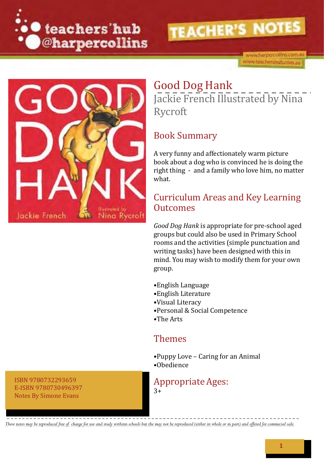

www.harpercollins.com.au www.teachershub.com.au



### Good Dog Hank Jackie French Illustrated by Nina Rycroft

#### Book Summary

A very funny and affectionately warm picture book about a dog who is convinced he is doing the right thing - and a family who love him, no matter what.

#### Curriculum Areas and Key Learning Outcomes

*Good Dog Hank* is appropriate for pre-school aged groups but could also be used in Primary School rooms and the activities (simple punctuation and writing tasks) have been designed with this in mind. You may wish to modify them for your own group.

- •English Language
- •English Literature
- •Visual Literacy
- •Personal & Social Competence
- •The Arts

#### Themes

•Puppy Love – Caring for an Animal •Obedience

#### Appropriate Ages:

 $3+$ 

ISBN 9780732293659 E-ISBN 9780730496397 Notes By Simone Evans

These notes may be reproduced free of. charge for use and study withinn schools but the may not be reproduced (either in whole or in part) and offered for commecial sale.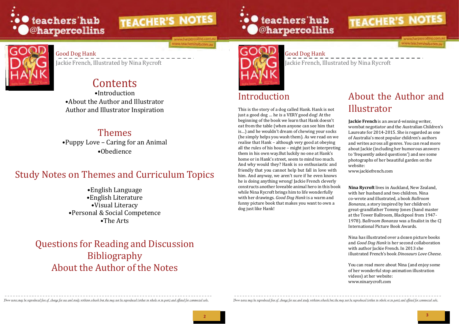

ww.teachershub.com.au





#### Good Dog Hank

Jackie French, Illustrated by Nina Rycroft

## Good Dog Hank

Jackie French, Illustrated by Nina Rycroft

### Contents

•About the Author and Illustrator Author and Illustrator Inspiration

### Themes

•Puppy Love – Caring for an Animal •Obedience

### Study Notes on Themes and Curriculum Topics

•English Language •English Literature •Visual Literacy •Personal & Social Competence •The Arts

### Questions for Reading and Discussion Bibliography About the Author of the Notes





### •Introduction Introduction About the Author and Illustrator

This is the story of a dog called Hank. Hank is not just a good dog … he is a VERY good dog! At the beginning of the book we learn that Hank doesn't eat from the table (when anyone can see him that is…) and he wouldn't dream of chewing your socks (he simply helps you wash them). As we read on we realise that Hank – although very good at obeying all the rules of his house – might just be interpreting them in his own way.But luckily no one at Hank's home or in Hank's street, seem to mind too much. And why would they? Hank is so enthusiastic and friendly that you cannot help but fall in love with him. And anyway, we aren't sure if he even knows he is doing anything wrong! Jackie French cleverly constructs another loveable animal hero in this book while Nina Rycroft brings him to life wonderfully with her drawings. *Good Dog Hank* is a warm and funny picture book that makes you want to own a dog just like Hank!

These notes may be reproduced free of charge for use and study withinn schools but the may not be reproduced (either in whole or in part) and offered for commecial sale. These notes may be reproduced free of charge for use

**Jackie French** is an award-winning writer, wombat negotiator and the Australian Children's Laureate for 2014-2015. She is regarded as one of Australia's most popular children's authors and writes across all genres. You can read more about Jackie (including her humorous answers to 'frequently asked questions') and see some photographs of her beautiful garden on the website:

[www.jackiefrench.com](http://www.jackiefrench.com/)

**Nina Rycroft** lives in Auckland, New Zealand, with her husband and two children. Nina co-wrote and illustrated, a book *Ballroom Bonanza*, a story inspired by her children's great-grandfather Tommy Jones (band master at the Tower Ballroom, Blackpool from 1947- 1978). B*allroom Bonanza* was a finalist in the CJ International Picture Book Awards.

Nina has illustrated over a dozen picture books and *Good Dog Hank* is her second collaboration with author Jackie French. In 2013 she illustrated French's book *Dinosaurs Love Cheese*.

You can read more about Nina (and enjoy some of her wonderful stop animation illustration videos) at her website: [www.ninarycroft.com](http://www.ninarycroft.com/)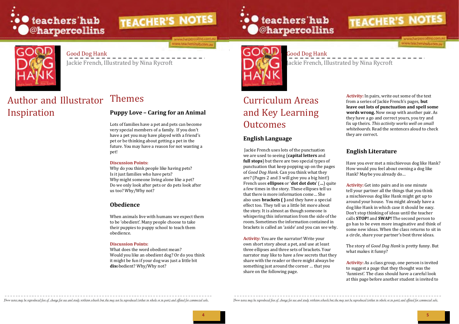

ww.harpercollins.com ww.teachershub.com.au



**4 5**



#### Good Dog Hank

Jackie French, Illustrated by Nina Rycroft

#### Good Dog Hank Jackie French, Illustrated by Nina Rycroft

### Author and Illustrator Inspiration

### Themes

#### **Puppy Love – Caring for an Animal**

Lots of families have a pet and pets can become very special members of a family. If you don't have a pet you may have played with a friend's pet or be thinking about getting a pet in the future. You may have a reason for not wanting a pet!

### Curriculum Areas and Key Learning **Outcomes**

#### **Discussion Points:**

Why do you think people like having pets? Is it just families who have pets? Why might someone living alone like a pet? Do we only look after pets or do pets look after us too? Why/Why not?

#### **Obedience**

When animals live with humans we expect them to be 'obedient'. Many people choose to take their puppies to puppy school to teach them obedience.

#### **Discussion Points:**

What does the word obedient mean? Would you like an obedient dog? Or do you think it might be fun if your dog was just a little bit **dis**obedient? Why/Why not?





#### **English Language**

Jackie French uses lots of the punctuation we are used to seeing (**capital letters** and **full stops**) but there are two special types of punctuation that keep popping up on the pages of *Good Dog Hank.* Can you think what they are? (Pages 2 and 3 will give you a big hint!) French uses **ellipses** or '**dot dot dots**' (**…**) quite a few times in the story. These ellipses tell us that there is more information come… She also uses **brackets ( )** and they have a special effect too. They tell us a little bit more about the story. It is almost as though someone is whispering this information from the side of the room.Sometimes the information contained in brackets is called an 'aside' and you can see why.

**Activity:** You are the narrator! Write your own short story about a pet, and use at least three ellipses and three sets of brackets. Your narrator may like to have a few secrets that they share with the reader or there might always be something just around the corner … that you share on the following page.

These notes may be reproduced free of charge for use and study withinn schools but the may not be reproduced (either in whole or in part) and offered for commerial sale. These notes may be reproduced free of charge for use

**Activity:** In pairs, write out some of the text from a series of Jackie French's pages, **but leave out lots of punctuation and spell some words wrong.** Now swap with another pair. As they have a go and correct yours, you try and fix up theirs. *This activity works well on small whiteboards*. Read the sentences aloud to check they are correct.

#### **English Literature**

Have you ever met a mischievous dog like Hank? How would you feel about owning a dog like Hank? Maybe you already do…

**Activity:** Get into pairs and in one minute tell your partner all the things that you think a mischievous dog like Hank might get up to around your house. You might already have a dog like Hank in which case it should be easy. Don't stop thinking of ideas until the teacher calls **STOP!** and **SWAP!** The second person to go has to be even more imaginative and think of some new ideas. When the class returns to sit in a circle, share your partner's best three ideas.

The story of *Good Dog Hank* is pretty funny. But what makes it funny?

**Activity:** As a class group, one person is invited to suggest a page that they thought was the 'funniest'. The class should have a careful look at this page before another student is invited to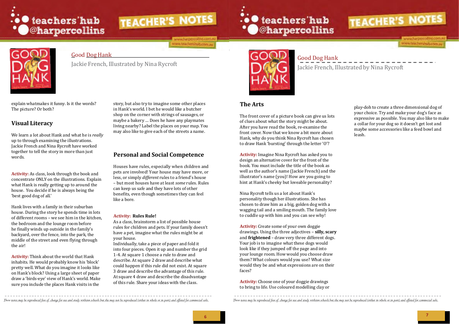

www.harpercollins.com.a ww.teachershub.com.au







#### Good Dog Hank

Jackie French, Illustrated by Nina Rycroft

Good Dog Hank

Jackie French, Illustrated by Nina Rycroft

explain whatmakes it funny. Is it the words? The picture? Or both?

#### **Visual Literacy**

We learn a lot about Hank and what he is *really* up to through examining the illustrations. Jackie French and Nina Rycroft have worked together to tell the story in more than just words.

**Activity:** As class, look through the book and concentrate ONLY on the illustrations. Explain what Hank is really getting up to around the house. You decide if he is always being the 'best good dog of all.'

Hank lives with a family in their suburban house. During the story he spends time in lots of different rooms – we see him in the kitchen, the bedroom and the lounge room before he finally winds up outside in the family's backyard, over the fence, into the park, the middle of the street and even flying through the air!

**Activity:** Think about the world that Hank inhabits. He would probably know his 'block' pretty well. What do you imagine it looks like on Hank's block? Using a large sheet of paper draw a 'birds-eye' view of Hank's world. Make sure you include the places Hank visits in the

story, but also try to imagine some other places in Hank's world. I bet he would like a butcher shop on the corner with strings of sausages, or maybe a bakery … Does he have any playmates living nearby? Label the places on your map. You may also like to give each of the streets a name.

#### **Personal and Social Competence**

Houses have rules, especially when children and pets are involved! Your house may have more, or less, or simply *different* rules to a friend's house – but most houses have at least *some* rules. Rules can keep us safe and they have lots of other benefits, even though sometimes they can feel like a bore.

#### **Activity: Rules Rule!**

As a class, brainstorm a list of possible house rules for children and pets. If your family doesn't have a pet, imagine what the rules might be at your house.

Individually, take a piece of paper and fold it into four pieces. Open it up and number the grid 1-4. At square 1 choose a rule to draw and describe. At square 2 draw and describe what could happen if this rule did not exist. At square 3 draw and describe the advantage of this rule. At square 4 draw and describe the disadvantage of this rule. Share your ideas with the class.



#### **The Arts**

The front cover of a picture book can give us lots of clues about what the story might be about. After you have read the book, re-examine the front cover. Now that we know a bit more about Hank, why do you think Nina Rycroft has chosen to draw Hank 'bursting' through the letter 'O'?

**Activity:** Imagine Nina Rycroft has asked you to design an alternative cover for the front of the book. You must include the title of the book as well as the author's name (Jackie French) and the illustrator's name (you)! How are you going to hint at Hank's cheeky but loveable personality?

Nina Rycroft tells us a lot about Hank's personality though her illustrations. She has chosen to draw him as a big, golden dog with a wagging tail and a smiling mouth. The family love to cuddle up with him and you can see why!

**Activity:** Create some of your own doggie drawings. Using the three adjectives – **silly, scary** and **frightened** – draw very three different dogs. Your job is to imagine what these dogs would look like if they jumped off the page and into your lounge room. How would you choose draw them? What colours would you use? What size would they be and what expressions are on their faces?

**Activity:** Choose one of your doggie drawings to bring to life. Use coloured modelling clay or

These notes may be reproduced free of charge for use and study withinn schools but the may not be reproduced (either in whole or in part) and offered for commecial sale. These notes may be reproduced free of charge for use

play-doh to create a three dimensional dog of your choice. Try and make your dog's face as expressive as possible. You may also like to make a collar for your dog so it doesn't get lost and maybe some accessories like a feed bowl and leash.

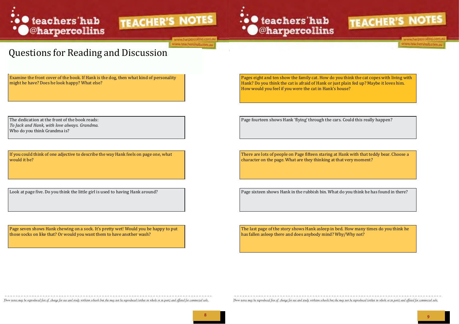





ww.harpercollins.com.a www.teachershub.com.au





www.harpercollins.com www.teachershub.com.au

The last page of the story shows Hank asleep in bed. How many times do you think he has fallen asleep there and does anybody mind? Why/Why not?

These notes may be reproduced free of charge for use and study withinn schools but the may not be reproduced (either in whole or in part) and offered for commecial sale. These notes may be reproduced free of charge for use

Page seven shows Hank chewing on a sock. It's pretty wet! Would you be happy to put those socks on like that? Or would you want them to have another wash?

Pages eight and ten show the family cat. How do you think the cat copes with living with Hank? Do you think the cat is afraid of Hank or just plain fed up? Maybe it loves him. How would you feel if you were the cat in Hank's house?

The dedication at the front of the book reads:  $\vert$  Page fourteen shows Hank 'flying' through the cars. Could this really happen?

There are lots of people on Page fifteen staring at Hank with that teddy bear. Choose a character on the page. What are they thinking at that very moment?

Look at page five. Do you think the little girl is used to having Hank around?

If you could think of one adjective to describe the way Hank feels on page one, what would it be?

*To Jack and Hank, with love always. Grandma.* Who do you think Grandma is?

Examine the front cover of the book. If Hank is the dog, then what kind of personality might he have? Does he look happy? What else?

### Questions for Reading and Discussion